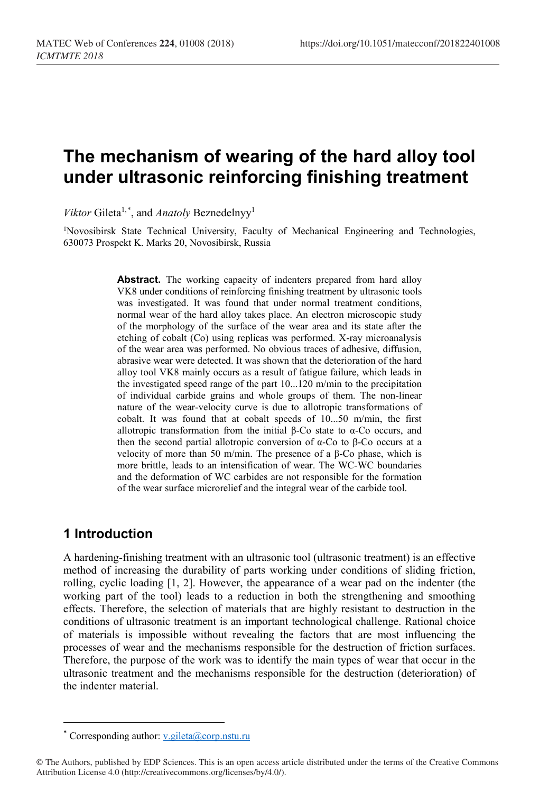# **The mechanism of wearing of the hard alloy tool under ultrasonic reinforcing finishing treatment**

Viktor Gileta<sup>1,[\\*](#page-0-0)</sup>, and *Anatoly* Beznedelnyy<sup>1</sup>

<sup>1</sup>Novosibirsk State Technical University, Faculty of Mechanical Engineering and Technologies, 630073 Prospekt K. Marks 20, Novosibirsk, Russia

> Abstract. The working capacity of indenters prepared from hard alloy VK8 under conditions of reinforcing finishing treatment by ultrasonic tools was investigated. It was found that under normal treatment conditions, normal wear of the hard alloy takes place. An electron microscopic study of the morphology of the surface of the wear area and its state after the etching of cobalt (Co) using replicas was performed. X-ray microanalysis of the wear area was performed. No obvious traces of adhesive, diffusion, abrasive wear were detected. It was shown that the deterioration of the hard alloy tool VK8 mainly occurs as a result of fatigue failure, which leads in the investigated speed range of the part 10...120 m/min to the precipitation of individual carbide grains and whole groups of them. The non-linear nature of the wear-velocity curve is due to allotropic transformations of cobalt. It was found that at cobalt speeds of 10...50 m/min, the first allotropic transformation from the initial β-Co state to α-Co occurs, and then the second partial allotropic conversion of α-Co to β-Co occurs at a velocity of more than 50 m/min. The presence of a β-Co phase, which is more brittle, leads to an intensification of wear. The WC-WC boundaries and the deformation of WC carbides are not responsible for the formation of the wear surface microrelief and the integral wear of the carbide tool.

## **1 Introduction**

 $\overline{a}$ 

A hardening-finishing treatment with an ultrasonic tool (ultrasonic treatment) is an effective method of increasing the durability of parts working under conditions of sliding friction, rolling, cyclic loading [1, 2]. However, the appearance of a wear pad on the indenter (the working part of the tool) leads to a reduction in both the strengthening and smoothing effects. Therefore, the selection of materials that are highly resistant to destruction in the conditions of ultrasonic treatment is an important technological challenge. Rational choice of materials is impossible without revealing the factors that are most influencing the processes of wear and the mechanisms responsible for the destruction of friction surfaces. Therefore, the purpose of the work was to identify the main types of wear that occur in the ultrasonic treatment and the mechanisms responsible for the destruction (deterioration) of the indenter material.

<sup>\*</sup> Corresponding author: v.gileta@corp.nstu.ru

<span id="page-0-0"></span><sup>©</sup> The Authors, published by EDP Sciences. This is an open access article distributed under the terms of the Creative Commons Attribution License 4.0 (http://creativecommons.org/licenses/by/4.0/).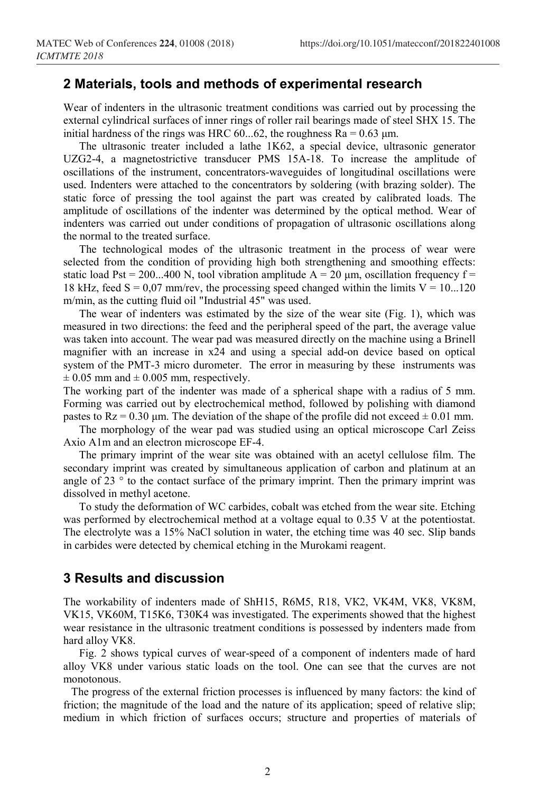#### **2 Materials, tools and methods of experimental research**

Wear of indenters in the ultrasonic treatment conditions was carried out by processing the external cylindrical surfaces of inner rings of roller rail bearings made of steel SHX 15. The initial hardness of the rings was HRC 60...62, the roughness  $Ra = 0.63 \mu m$ .

The ultrasonic treater included a lathe 1K62, a special device, ultrasonic generator UZG2-4, a magnetostrictive transducer PMS 15A-18. To increase the amplitude of oscillations of the instrument, concentrators-waveguides of longitudinal oscillations were used. Indenters were attached to the concentrators by soldering (with brazing solder). The static force of pressing the tool against the part was created by calibrated loads. The amplitude of oscillations of the indenter was determined by the optical method. Wear of indenters was carried out under conditions of propagation of ultrasonic oscillations along the normal to the treated surface.

The technological modes of the ultrasonic treatment in the process of wear were selected from the condition of providing high both strengthening and smoothing effects: static load Pst = 200...400 N, tool vibration amplitude  $A = 20 \mu m$ , oscillation frequency f = 18 kHz, feed  $S = 0.07$  mm/rev, the processing speed changed within the limits  $V = 10...120$ m/min, as the cutting fluid oil "Industrial 45" was used.

The wear of indenters was estimated by the size of the wear site (Fig. 1), which was measured in two directions: the feed and the peripheral speed of the part, the average value was taken into account. The wear pad was measured directly on the machine using a Brinell magnifier with an increase in x24 and using a special add-on device based on optical system of the PMT-3 micro durometer. The error in measuring by these instruments was  $\pm$  0.05 mm and  $\pm$  0.005 mm, respectively.

The working part of the indenter was made of a spherical shape with a radius of 5 mm. Forming was carried out by electrochemical method, followed by polishing with diamond pastes to  $Rz = 0.30 \mu m$ . The deviation of the shape of the profile did not exceed  $\pm 0.01 \text{ mm}$ .

The morphology of the wear pad was studied using an optical microscope Carl Zeiss Axio A1m and an electron microscope EF-4.

The primary imprint of the wear site was obtained with an acetyl cellulose film. The secondary imprint was created by simultaneous application of carbon and platinum at an angle of 23 $\degree$  to the contact surface of the primary imprint. Then the primary imprint was dissolved in methyl acetone.

To study the deformation of WC carbides, cobalt was etched from the wear site. Etching was performed by electrochemical method at a voltage equal to 0.35 V at the potentiostat. The electrolyte was a 15% NaCl solution in water, the etching time was 40 sec. Slip bands in carbides were detected by chemical etching in the Murokami reagent.

### **3 Results and discussion**

The workability of indenters made of ShH15, R6М5, R18, VК2, VK4M, VK8, VK8M, VK15, VK60M, T15K6, T30K4 was investigated. The experiments showed that the highest wear resistance in the ultrasonic treatment conditions is possessed by indenters made from hard alloy VK8.

Fig. 2 shows typical curves of wear-speed of a component of indenters made of hard alloy VK8 under various static loads on the tool. One can see that the curves are not monotonous.

The progress of the external friction processes is influenced by many factors: the kind of friction; the magnitude of the load and the nature of its application; speed of relative slip; medium in which friction of surfaces occurs; structure and properties of materials of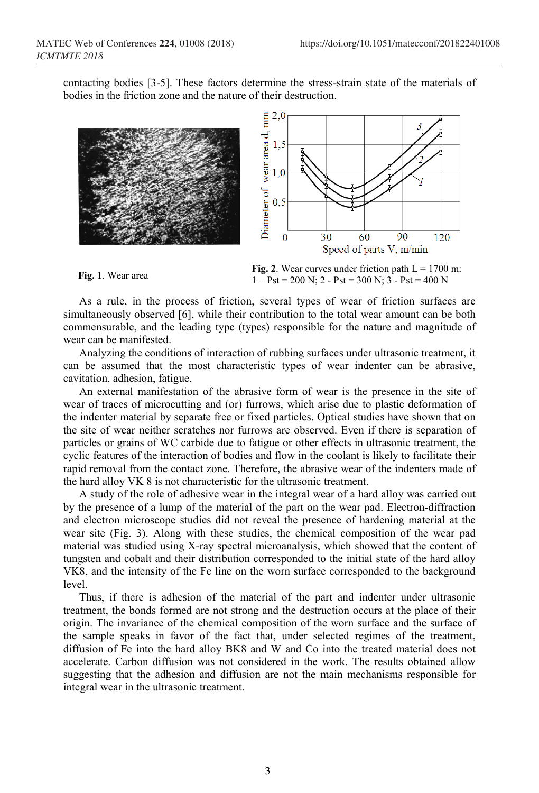contacting bodies [3-5]. These factors determine the stress-strain state of the materials of bodies in the friction zone and the nature of their destruction.





**Fig. 2**. Wear curves under friction path  $L = 1700$  m:<br> $\frac{1}{2}R_1 + \frac{200 \text{ N}}{2}R_2 + \frac{200 \text{ N}}{2}R_3 + \frac{400 \text{ N}}{2}R_4$  $1 - P$ st = 200 N; 2 - Pst = 300 N; 3 - Pst = 400 N

As a rule, in the process of friction, several types of wear of friction surfaces are simultaneously observed [6], while their contribution to the total wear amount can be both commensurable, and the leading type (types) responsible for the nature and magnitude of wear can be manifested.

Analyzing the conditions of interaction of rubbing surfaces under ultrasonic treatment, it can be assumed that the most characteristic types of wear indenter can be abrasive, cavitation, adhesion, fatigue.

An external manifestation of the abrasive form of wear is the presence in the site of wear of traces of microcutting and (or) furrows, which arise due to plastic deformation of the indenter material by separate free or fixed particles. Optical studies have shown that on the site of wear neither scratches nor furrows are observed. Even if there is separation of particles or grains of WC carbide due to fatigue or other effects in ultrasonic treatment, the cyclic features of the interaction of bodies and flow in the coolant is likely to facilitate their rapid removal from the contact zone. Therefore, the abrasive wear of the indenters made of the hard alloy VK 8 is not characteristic for the ultrasonic treatment.

A study of the role of adhesive wear in the integral wear of a hard alloy was carried out by the presence of a lump of the material of the part on the wear pad. Electron-diffraction and electron microscope studies did not reveal the presence of hardening material at the wear site (Fig. 3). Along with these studies, the chemical composition of the wear pad material was studied using X-ray spectral microanalysis, which showed that the content of tungsten and cobalt and their distribution corresponded to the initial state of the hard alloy VK8, and the intensity of the Fe line on the worn surface corresponded to the background level.

Thus, if there is adhesion of the material of the part and indenter under ultrasonic treatment, the bonds formed are not strong and the destruction occurs at the place of their origin. The invariance of the chemical composition of the worn surface and the surface of the sample speaks in favor of the fact that, under selected regimes of the treatment, diffusion of Fe into the hard alloy BK8 and W and Co into the treated material does not accelerate. Carbon diffusion was not considered in the work. The results obtained allow suggesting that the adhesion and diffusion are not the main mechanisms responsible for integral wear in the ultrasonic treatment.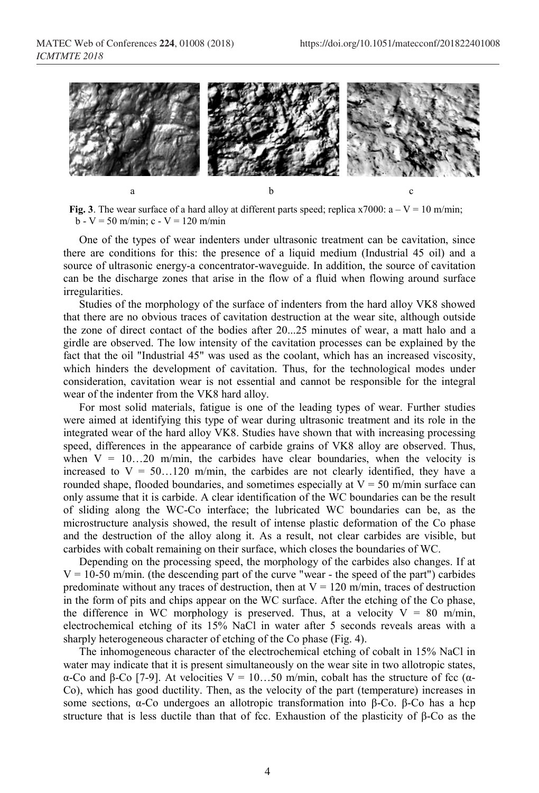

**Fig. 3**. The wear surface of a hard alloy at different parts speed; replica x7000:  $a - V = 10$  m/min;  $b - V = 50$  m/min; c - V = 120 m/min

One of the types of wear indenters under ultrasonic treatment can be cavitation, since there are conditions for this: the presence of a liquid medium (Industrial 45 oil) and a source of ultrasonic energy-a concentrator-waveguide. In addition, the source of cavitation can be the discharge zones that arise in the flow of a fluid when flowing around surface irregularities.

Studies of the morphology of the surface of indenters from the hard alloy VK8 showed that there are no obvious traces of cavitation destruction at the wear site, although outside the zone of direct contact of the bodies after 20...25 minutes of wear, a matt halo and a girdle are observed. The low intensity of the cavitation processes can be explained by the fact that the oil "Industrial 45" was used as the coolant, which has an increased viscosity, which hinders the development of cavitation. Thus, for the technological modes under consideration, cavitation wear is not essential and cannot be responsible for the integral wear of the indenter from the VK8 hard alloy.

For most solid materials, fatigue is one of the leading types of wear. Further studies were aimed at identifying this type of wear during ultrasonic treatment and its role in the integrated wear of the hard alloy VK8. Studies have shown that with increasing processing speed, differences in the appearance of carbide grains of VK8 alloy are observed. Thus, when  $V = 10...20$  m/min, the carbides have clear boundaries, when the velocity is increased to  $V = 50...120$  m/min, the carbides are not clearly identified, they have a rounded shape, flooded boundaries, and sometimes especially at  $V = 50$  m/min surface can only assume that it is carbide. A clear identification of the WC boundaries can be the result of sliding along the WC-Co interface; the lubricated WC boundaries can be, as the microstructure analysis showed, the result of intense plastic deformation of the Co phase and the destruction of the alloy along it. As a result, not clear carbides are visible, but carbides with cobalt remaining on their surface, which closes the boundaries of WC.

Depending on the processing speed, the morphology of the carbides also changes. If at  $V = 10-50$  m/min. (the descending part of the curve "wear - the speed of the part") carbides predominate without any traces of destruction, then at  $V = 120$  m/min, traces of destruction in the form of pits and chips appear on the WC surface. After the etching of the Co phase, the difference in WC morphology is preserved. Thus, at a velocity  $V = 80$  m/min, electrochemical etching of its 15% NaCl in water after 5 seconds reveals areas with a sharply heterogeneous character of etching of the Co phase (Fig. 4).

The inhomogeneous character of the electrochemical etching of cobalt in 15% NaCl in water may indicate that it is present simultaneously on the wear site in two allotropic states, α-Co and β-Co [7-9]. At velocities  $V = 10...50$  m/min, cobalt has the structure of fcc (α-Co), which has good ductility. Then, as the velocity of the part (temperature) increases in some sections, α-Co undergoes an allotropic transformation into β-Co. β-Co has a hcp structure that is less ductile than that of fcc. Exhaustion of the plasticity of β-Co as the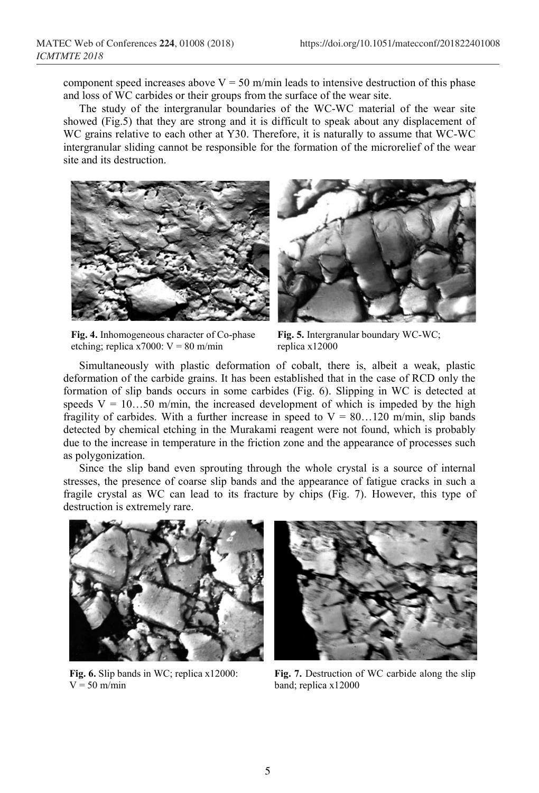component speed increases above  $V = 50$  m/min leads to intensive destruction of this phase and loss of WC carbides or their groups from the surface of the wear site.

The study of the intergranular boundaries of the WC-WC material of the wear site showed (Fig.5) that they are strong and it is difficult to speak about any displacement of WC grains relative to each other at Y30. Therefore, it is naturally to assume that WC-WC intergranular sliding cannot be responsible for the formation of the microrelief of the wear site and its destruction.



**Fig. 4.** Inhomogeneous character of Co-phase etching; replica x7000:  $V = 80$  m/min

**Fig. 5.** Intergranular boundary WC-WС; replica x12000

Simultaneously with plastic deformation of cobalt, there is, albeit a weak, plastic deformation of the carbide grains. It has been established that in the case of RCD only the formation of slip bands occurs in some carbides (Fig. 6). Slipping in WC is detected at speeds  $V = 10...50$  m/min, the increased development of which is impeded by the high fragility of carbides. With a further increase in speed to  $V = 80...120$  m/min, slip bands detected by chemical etching in the Murakami reagent were not found, which is probably due to the increase in temperature in the friction zone and the appearance of processes such as polygonization.

Since the slip band even sprouting through the whole crystal is a source of internal stresses, the presence of coarse slip bands and the appearance of fatigue cracks in such a fragile crystal as WC can lead to its fracture by chips (Fig. 7). However, this type of destruction is extremely rare.



**Fig. 6.** Slip bands in WC; replica x12000:  $V = 50$  m/min



**Fig. 7.** Destruction of WC carbide along the slip band; replica x12000